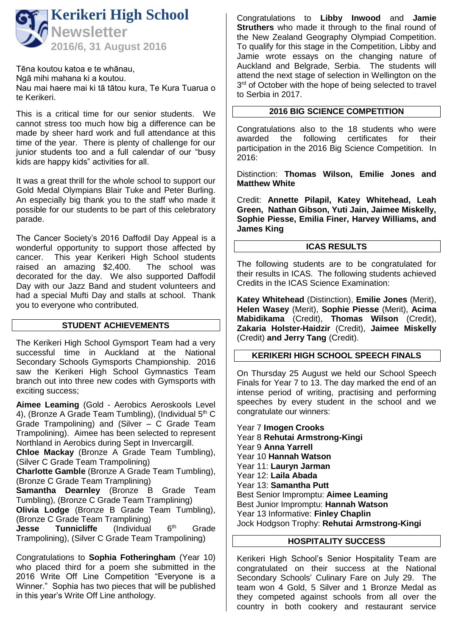

Tēna koutou katoa e te whānau, Ngā mihi mahana ki a koutou. Nau mai haere mai ki tā tātou kura, Te Kura Tuarua o te Kerikeri.

This is a critical time for our senior students. We cannot stress too much how big a difference can be made by sheer hard work and full attendance at this time of the year. There is plenty of challenge for our junior students too and a full calendar of our "busy kids are happy kids" activities for all.

It was a great thrill for the whole school to support our Gold Medal Olympians Blair Tuke and Peter Burling. An especially big thank you to the staff who made it possible for our students to be part of this celebratory parade.

The Cancer Society's 2016 Daffodil Day Appeal is a wonderful opportunity to support those affected by cancer. This year Kerikeri High School students raised an amazing \$2,400. The school was decorated for the day. We also supported Daffodil Day with our Jazz Band and student volunteers and had a special Mufti Day and stalls at school. Thank you to everyone who contributed.

### **STUDENT ACHIEVEMENTS**

The Kerikeri High School Gymsport Team had a very successful time in Auckland at the National Secondary Schools Gymsports Championship. 2016 saw the Kerikeri High School Gymnastics Team branch out into three new codes with Gymsports with exciting success;

**Aimee Leaming** (Gold - Aerobics Aeroskools Level 4), (Bronze A Grade Team Tumbling), (Individual 5<sup>th</sup> C Grade Trampolining) and (Silver – C Grade Team Trampolining). Aimee has been selected to represent Northland in Aerobics during Sept in Invercargill.

**Chloe Mackay** (Bronze A Grade Team Tumbling), (Silver C Grade Team Trampolining)

**Charlotte Gamble** (Bronze A Grade Team Tumbling), (Bronze C Grade Team Tramplining)

**Samantha Dearnley** (Bronze B Grade Team Tumbling), (Bronze C Grade Team Tramplining)

**Olivia Lodge** (Bronze B Grade Team Tumbling), (Bronze C Grade Team Tramplining)

Jesse Tunnicliffe (Individual 6<sup>th</sup> Grade Trampolining), (Silver C Grade Team Trampolining)

Congratulations to **Sophia Fotheringham** (Year 10) who placed third for a poem she submitted in the 2016 Write Off Line Competition "Everyone is a Winner." Sophia has two pieces that will be published in this year's Write Off Line anthology.

Congratulations to **Libby Inwood** and **Jamie Struthers** who made it through to the final round of the New Zealand Geography Olympiad Competition. To qualify for this stage in the Competition, Libby and Jamie wrote essays on the changing nature of Auckland and Belgrade, Serbia. The students will attend the next stage of selection in Wellington on the 3<sup>rd</sup> of October with the hope of being selected to travel to Serbia in 2017.

## **2016 BIG SCIENCE COMPETITION**

Congratulations also to the 18 students who were awarded the following certificates for their participation in the 2016 Big Science Competition. In 2016:

Distinction: **Thomas Wilson, Emilie Jones and Matthew White**

Credit: **Annette Pilapil, Katey Whitehead, Leah Green, Nathan Gibson, Yuti Jain, Jaimee Miskelly, Sophie Piesse, Emilia Finer, Harvey Williams, and James King**

## **ICAS RESULTS**

The following students are to be congratulated for their results in ICAS. The following students achieved Credits in the ICAS Science Examination:

**Katey Whitehead** (Distinction), **Emilie Jones** (Merit), **Helen Wasey** (Merit), **Sophie Piesse** (Merit), **Acima Mabidikama** (Credit), **Thomas Wilson** (Credit), **Zakaria Holster-Haidzir** (Credit), **Jaimee Miskelly**  (Credit) **and Jerry Tang** (Credit).

# **KERIKERI HIGH SCHOOL SPEECH FINALS**

On Thursday 25 August we held our School Speech Finals for Year 7 to 13. The day marked the end of an intense period of writing, practising and performing speeches by every student in the school and we congratulate our winners:

Year 7 **Imogen Crooks** Year 8 **Rehutai Armstrong-Kingi** Year 9 **Anna Yarrell** Year 10 **Hannah Watson** Year 11: **Lauryn Jarman** Year 12: **Laila Abada** Year 13: **Samantha Putt** Best Senior Impromptu: **Aimee Leaming** Best Junior Impromptu: **Hannah Watson** Year 13 Informative: **Finley Chaplin** Jock Hodgson Trophy: **Rehutai Armstrong-Kingi**

## **HOSPITALITY SUCCESS**

Kerikeri High School's Senior Hospitality Team are congratulated on their success at the National Secondary Schools' Culinary Fare on July 29. The team won 4 Gold, 5 Silver and 1 Bronze Medal as they competed against schools from all over the country in both cookery and restaurant service